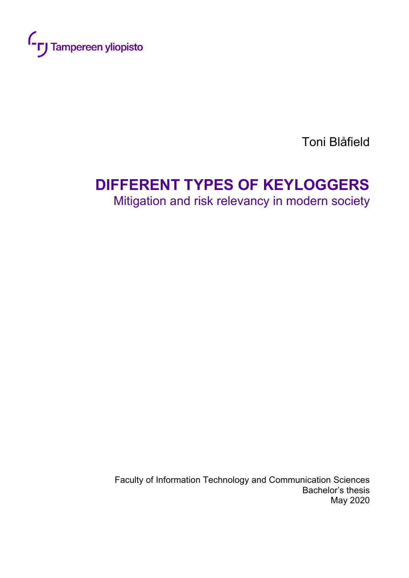

Toni Blåfield

# **DIFFERENT TYPES OF KEYLOGGERS**

Mitigation and risk relevancy in modern society

Faculty of Information Technology and Communication Sciences Bachelor's thesis May 2020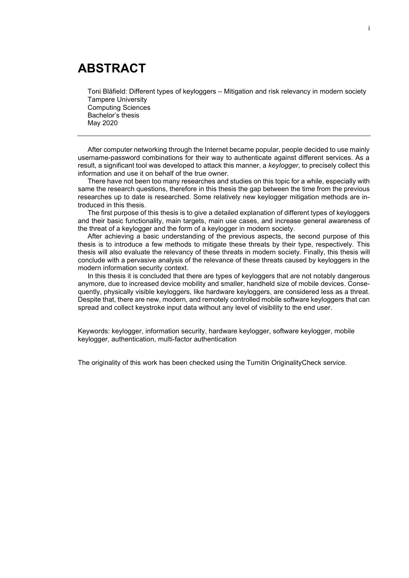## **ABSTRACT**

Toni Blåfield: Different types of keyloggers – Mitigation and risk relevancy in modern society Tampere University Computing Sciences Bachelor's thesis May 2020

After computer networking through the Internet became popular, people decided to use mainly username-password combinations for their way to authenticate against different services. As a result, a significant tool was developed to attack this manner, a *keylogger*, to precisely collect this information and use it on behalf of the true owner.

There have not been too many researches and studies on this topic for a while, especially with same the research questions, therefore in this thesis the gap between the time from the previous researches up to date is researched. Some relatively new keylogger mitigation methods are introduced in this thesis.

The first purpose of this thesis is to give a detailed explanation of different types of keyloggers and their basic functionality, main targets, main use cases, and increase general awareness of the threat of a keylogger and the form of a keylogger in modern society.

After achieving a basic understanding of the previous aspects, the second purpose of this thesis is to introduce a few methods to mitigate these threats by their type, respectively. This thesis will also evaluate the relevancy of these threats in modern society. Finally, this thesis will conclude with a pervasive analysis of the relevance of these threats caused by keyloggers in the modern information security context.

In this thesis it is concluded that there are types of keyloggers that are not notably dangerous anymore, due to increased device mobility and smaller, handheld size of mobile devices. Consequently, physically visible keyloggers, like hardware keyloggers, are considered less as a threat. Despite that, there are new, modern, and remotely controlled mobile software keyloggers that can spread and collect keystroke input data without any level of visibility to the end user.

Keywords: keylogger, information security, hardware keylogger, software keylogger, mobile keylogger, authentication, multi-factor authentication

The originality of this work has been checked using the Turnitin OriginalityCheck service.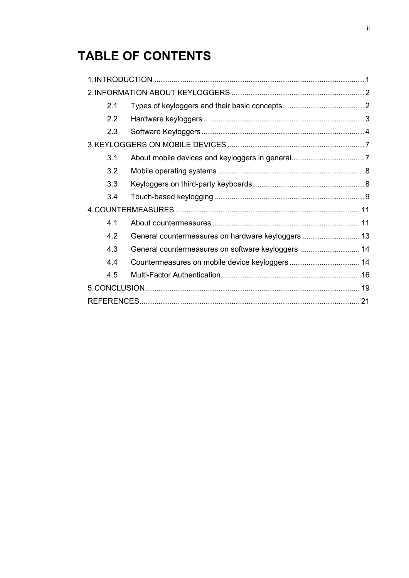# **TABLE OF CONTENTS**

| 2.1 |                                                    |  |
|-----|----------------------------------------------------|--|
| 2.2 |                                                    |  |
| 2.3 |                                                    |  |
|     |                                                    |  |
| 3.1 |                                                    |  |
| 3.2 |                                                    |  |
| 3.3 |                                                    |  |
| 3.4 |                                                    |  |
|     |                                                    |  |
| 4.1 |                                                    |  |
| 4.2 | General countermeasures on hardware keyloggers  13 |  |
| 4.3 | General countermeasures on software keyloggers  14 |  |
| 4.4 | Countermeasures on mobile device keyloggers 14     |  |
| 4.5 |                                                    |  |
|     |                                                    |  |
|     |                                                    |  |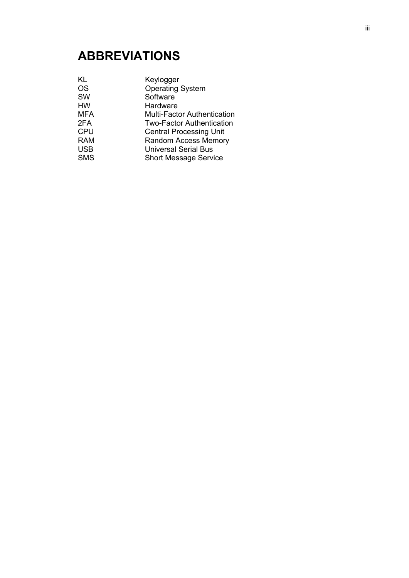# **ABBREVIATIONS**

| KL         | Keylogger                        |
|------------|----------------------------------|
| <b>OS</b>  | <b>Operating System</b>          |
| <b>SW</b>  | Software                         |
| <b>HW</b>  | Hardware                         |
| <b>MFA</b> | Multi-Factor Authentication      |
| 2FA        | <b>Two-Factor Authentication</b> |
| <b>CPU</b> | <b>Central Processing Unit</b>   |
| <b>RAM</b> | <b>Random Access Memory</b>      |
| <b>USB</b> | <b>Universal Serial Bus</b>      |
| <b>SMS</b> | <b>Short Message Service</b>     |
|            |                                  |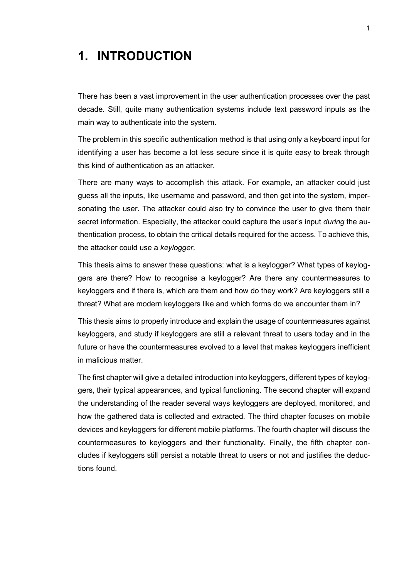## <span id="page-4-0"></span>**1. INTRODUCTION**

There has been a vast improvement in the user authentication processes over the past decade. Still, quite many authentication systems include text password inputs as the main way to authenticate into the system.

The problem in this specific authentication method is that using only a keyboard input for identifying a user has become a lot less secure since it is quite easy to break through this kind of authentication as an attacker.

There are many ways to accomplish this attack. For example, an attacker could just guess all the inputs, like username and password, and then get into the system, impersonating the user. The attacker could also try to convince the user to give them their secret information. Especially, the attacker could capture the user's input *during* the authentication process, to obtain the critical details required for the access. To achieve this, the attacker could use a *keylogger*.

This thesis aims to answer these questions: what is a keylogger? What types of keyloggers are there? How to recognise a keylogger? Are there any countermeasures to keyloggers and if there is, which are them and how do they work? Are keyloggers still a threat? What are modern keyloggers like and which forms do we encounter them in?

This thesis aims to properly introduce and explain the usage of countermeasures against keyloggers, and study if keyloggers are still a relevant threat to users today and in the future or have the countermeasures evolved to a level that makes keyloggers inefficient in malicious matter.

The first chapter will give a detailed introduction into keyloggers, different types of keyloggers, their typical appearances, and typical functioning. The second chapter will expand the understanding of the reader several ways keyloggers are deployed, monitored, and how the gathered data is collected and extracted. The third chapter focuses on mobile devices and keyloggers for different mobile platforms. The fourth chapter will discuss the countermeasures to keyloggers and their functionality. Finally, the fifth chapter concludes if keyloggers still persist a notable threat to users or not and justifies the deductions found.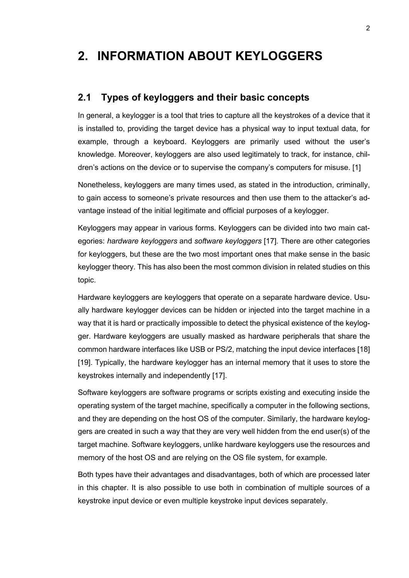## <span id="page-5-0"></span>**2. INFORMATION ABOUT KEYLOGGERS**

#### <span id="page-5-1"></span>**2.1 Types of keyloggers and their basic concepts**

In general, a keylogger is a tool that tries to capture all the keystrokes of a device that it is installed to, providing the target device has a physical way to input textual data, for example, through a keyboard. Keyloggers are primarily used without the user's knowledge. Moreover, keyloggers are also used legitimately to track, for instance, children's actions on the device or to supervise the company's computers for misuse. [1]

Nonetheless, keyloggers are many times used, as stated in the introduction, criminally, to gain access to someone's private resources and then use them to the attacker's advantage instead of the initial legitimate and official purposes of a keylogger.

Keyloggers may appear in various forms. Keyloggers can be divided into two main categories: *hardware keyloggers* and *software keyloggers* [17]. There are other categories for keyloggers, but these are the two most important ones that make sense in the basic keylogger theory. This has also been the most common division in related studies on this topic.

Hardware keyloggers are keyloggers that operate on a separate hardware device. Usually hardware keylogger devices can be hidden or injected into the target machine in a way that it is hard or practically impossible to detect the physical existence of the keylogger. Hardware keyloggers are usually masked as hardware peripherals that share the common hardware interfaces like USB or PS/2, matching the input device interfaces [18] [19]. Typically, the hardware keylogger has an internal memory that it uses to store the keystrokes internally and independently [17].

Software keyloggers are software programs or scripts existing and executing inside the operating system of the target machine, specifically a computer in the following sections, and they are depending on the host OS of the computer. Similarly, the hardware keyloggers are created in such a way that they are very well hidden from the end user(s) of the target machine. Software keyloggers, unlike hardware keyloggers use the resources and memory of the host OS and are relying on the OS file system, for example.

Both types have their advantages and disadvantages, both of which are processed later in this chapter. It is also possible to use both in combination of multiple sources of a keystroke input device or even multiple keystroke input devices separately.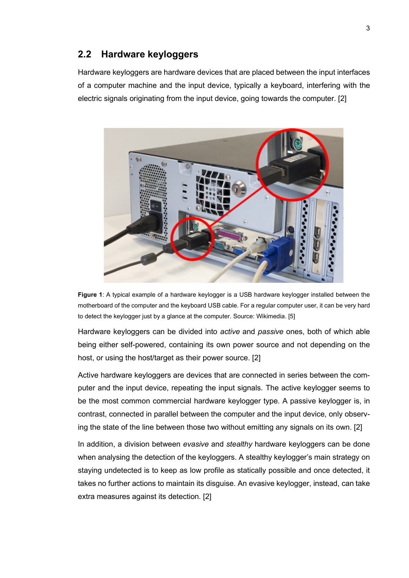#### <span id="page-6-0"></span>**2.2 Hardware keyloggers**

Hardware keyloggers are hardware devices that are placed between the input interfaces of a computer machine and the input device, typically a keyboard, interfering with the electric signals originating from the input device, going towards the computer. [2]



**Figure 1**: A typical example of a hardware keylogger is a USB hardware keylogger installed between the motherboard of the computer and the keyboard USB cable. For a regular computer user, it can be very hard to detect the keylogger just by a glance at the computer. Source: Wikimedia. [5]

Hardware keyloggers can be divided into *active* and *passive* ones, both of which able being either self-powered, containing its own power source and not depending on the host, or using the host/target as their power source. [2]

Active hardware keyloggers are devices that are connected in series between the computer and the input device, repeating the input signals. The active keylogger seems to be the most common commercial hardware keylogger type. A passive keylogger is, in contrast, connected in parallel between the computer and the input device, only observing the state of the line between those two without emitting any signals on its own. [2]

In addition, a division between *evasive* and *stealthy* hardware keyloggers can be done when analysing the detection of the keyloggers. A stealthy keylogger's main strategy on staying undetected is to keep as low profile as statically possible and once detected, it takes no further actions to maintain its disguise. An evasive keylogger, instead, can take extra measures against its detection. [2]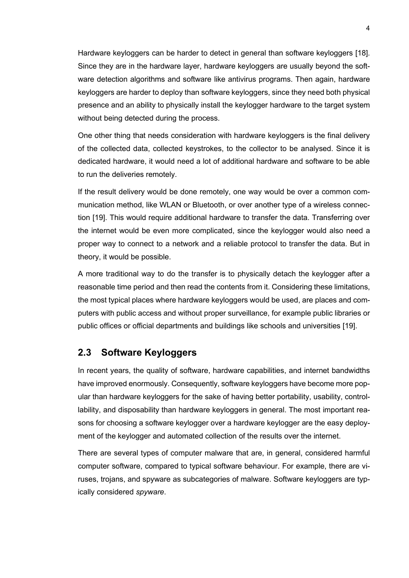Hardware keyloggers can be harder to detect in general than software keyloggers [18]. Since they are in the hardware layer, hardware keyloggers are usually beyond the software detection algorithms and software like antivirus programs. Then again, hardware keyloggers are harder to deploy than software keyloggers, since they need both physical presence and an ability to physically install the keylogger hardware to the target system without being detected during the process.

One other thing that needs consideration with hardware keyloggers is the final delivery of the collected data, collected keystrokes, to the collector to be analysed. Since it is dedicated hardware, it would need a lot of additional hardware and software to be able to run the deliveries remotely.

If the result delivery would be done remotely, one way would be over a common communication method, like WLAN or Bluetooth, or over another type of a wireless connection [19]. This would require additional hardware to transfer the data. Transferring over the internet would be even more complicated, since the keylogger would also need a proper way to connect to a network and a reliable protocol to transfer the data. But in theory, it would be possible.

A more traditional way to do the transfer is to physically detach the keylogger after a reasonable time period and then read the contents from it. Considering these limitations, the most typical places where hardware keyloggers would be used, are places and computers with public access and without proper surveillance, for example public libraries or public offices or official departments and buildings like schools and universities [19].

#### <span id="page-7-0"></span>**2.3 Software Keyloggers**

In recent years, the quality of software, hardware capabilities, and internet bandwidths have improved enormously. Consequently, software keyloggers have become more popular than hardware keyloggers for the sake of having better portability, usability, controllability, and disposability than hardware keyloggers in general. The most important reasons for choosing a software keylogger over a hardware keylogger are the easy deployment of the keylogger and automated collection of the results over the internet.

There are several types of computer malware that are, in general, considered harmful computer software, compared to typical software behaviour. For example, there are viruses, trojans, and spyware as subcategories of malware. Software keyloggers are typically considered *spyware*.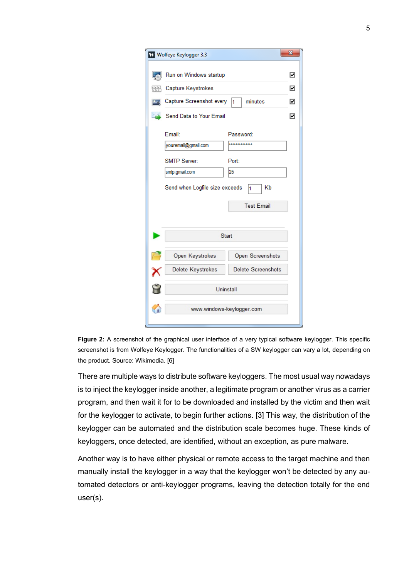|        | W Wolfeye Keylogger 3.3                             |                           | $\overline{\mathbf{x}}$ |  |  |  |
|--------|-----------------------------------------------------|---------------------------|-------------------------|--|--|--|
| المرنا | Run on Windows startup                              |                           | 罓                       |  |  |  |
| 음력     | Capture Keystrokes                                  |                           | 罓                       |  |  |  |
|        | Capture Screenshot every<br>minutes<br>$\mathbf{1}$ |                           |                         |  |  |  |
| 23     | Send Data to Your Email                             |                           | 罓                       |  |  |  |
|        | Email:                                              | Password:                 |                         |  |  |  |
|        | youremail@gmail.com                                 | **************            |                         |  |  |  |
|        | <b>SMTP Server:</b>                                 | Port:                     |                         |  |  |  |
|        | smtp.gmail.com                                      | 25                        |                         |  |  |  |
|        | Send when Logfile size exceeds<br>Kb<br>1           |                           |                         |  |  |  |
|        |                                                     | <b>Test Email</b>         |                         |  |  |  |
|        |                                                     |                           |                         |  |  |  |
|        | Start                                               |                           |                         |  |  |  |
|        | Open Keystrokes                                     | Open Screenshots          |                         |  |  |  |
|        | Delete Keystrokes                                   | <b>Delete Screenshots</b> |                         |  |  |  |
|        | <b>Uninstall</b>                                    |                           |                         |  |  |  |
|        | www.windows-keylogger.com                           |                           |                         |  |  |  |
|        |                                                     |                           |                         |  |  |  |



There are multiple ways to distribute software keyloggers. The most usual way nowadays is to inject the keylogger inside another, a legitimate program or another virus as a carrier program, and then wait it for to be downloaded and installed by the victim and then wait for the keylogger to activate, to begin further actions. [3] This way, the distribution of the keylogger can be automated and the distribution scale becomes huge. These kinds of keyloggers, once detected, are identified, without an exception, as pure malware.

Another way is to have either physical or remote access to the target machine and then manually install the keylogger in a way that the keylogger won't be detected by any automated detectors or anti-keylogger programs, leaving the detection totally for the end user(s).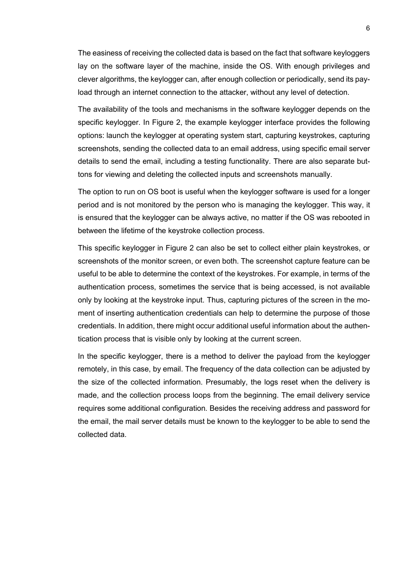The easiness of receiving the collected data is based on the fact that software keyloggers lay on the software layer of the machine, inside the OS. With enough privileges and clever algorithms, the keylogger can, after enough collection or periodically, send its payload through an internet connection to the attacker, without any level of detection.

The availability of the tools and mechanisms in the software keylogger depends on the specific keylogger. In Figure 2, the example keylogger interface provides the following options: launch the keylogger at operating system start, capturing keystrokes, capturing screenshots, sending the collected data to an email address, using specific email server details to send the email, including a testing functionality. There are also separate buttons for viewing and deleting the collected inputs and screenshots manually.

The option to run on OS boot is useful when the keylogger software is used for a longer period and is not monitored by the person who is managing the keylogger. This way, it is ensured that the keylogger can be always active, no matter if the OS was rebooted in between the lifetime of the keystroke collection process.

This specific keylogger in Figure 2 can also be set to collect either plain keystrokes, or screenshots of the monitor screen, or even both. The screenshot capture feature can be useful to be able to determine the context of the keystrokes. For example, in terms of the authentication process, sometimes the service that is being accessed, is not available only by looking at the keystroke input. Thus, capturing pictures of the screen in the moment of inserting authentication credentials can help to determine the purpose of those credentials. In addition, there might occur additional useful information about the authentication process that is visible only by looking at the current screen.

In the specific keylogger, there is a method to deliver the payload from the keylogger remotely, in this case, by email. The frequency of the data collection can be adjusted by the size of the collected information. Presumably, the logs reset when the delivery is made, and the collection process loops from the beginning. The email delivery service requires some additional configuration. Besides the receiving address and password for the email, the mail server details must be known to the keylogger to be able to send the collected data.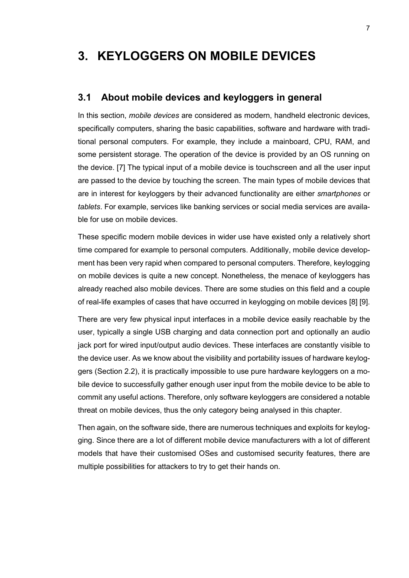## <span id="page-10-0"></span>**3. KEYLOGGERS ON MOBILE DEVICES**

#### <span id="page-10-1"></span>**3.1 About mobile devices and keyloggers in general**

In this section, *mobile devices* are considered as modern, handheld electronic devices, specifically computers, sharing the basic capabilities, software and hardware with traditional personal computers. For example, they include a mainboard, CPU, RAM, and some persistent storage. The operation of the device is provided by an OS running on the device. [7] The typical input of a mobile device is touchscreen and all the user input are passed to the device by touching the screen. The main types of mobile devices that are in interest for keyloggers by their advanced functionality are either *smartphones* or *tablets*. For example, services like banking services or social media services are available for use on mobile devices.

These specific modern mobile devices in wider use have existed only a relatively short time compared for example to personal computers. Additionally, mobile device development has been very rapid when compared to personal computers. Therefore, keylogging on mobile devices is quite a new concept. Nonetheless, the menace of keyloggers has already reached also mobile devices. There are some studies on this field and a couple of real-life examples of cases that have occurred in keylogging on mobile devices [8] [9].

There are very few physical input interfaces in a mobile device easily reachable by the user, typically a single USB charging and data connection port and optionally an audio jack port for wired input/output audio devices. These interfaces are constantly visible to the device user. As we know about the visibility and portability issues of hardware keyloggers (Section 2.2), it is practically impossible to use pure hardware keyloggers on a mobile device to successfully gather enough user input from the mobile device to be able to commit any useful actions. Therefore, only software keyloggers are considered a notable threat on mobile devices, thus the only category being analysed in this chapter.

Then again, on the software side, there are numerous techniques and exploits for keylogging. Since there are a lot of different mobile device manufacturers with a lot of different models that have their customised OSes and customised security features, there are multiple possibilities for attackers to try to get their hands on.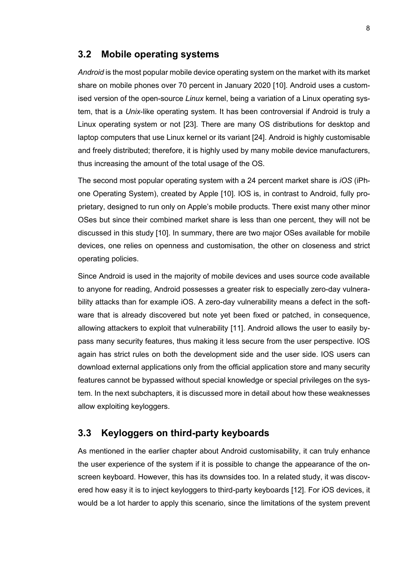#### <span id="page-11-0"></span>**3.2 Mobile operating systems**

*Android* is the most popular mobile device operating system on the market with its market share on mobile phones over 70 percent in January 2020 [10]. Android uses a customised version of the open-source *Linux* kernel, being a variation of a Linux operating system, that is a *Unix*-like operating system. It has been controversial if Android is truly a Linux operating system or not [23]. There are many OS distributions for desktop and laptop computers that use Linux kernel or its variant [24]. Android is highly customisable and freely distributed; therefore, it is highly used by many mobile device manufacturers, thus increasing the amount of the total usage of the OS.

The second most popular operating system with a 24 percent market share is *iOS* (iPhone Operating System), created by Apple [10]. IOS is, in contrast to Android, fully proprietary, designed to run only on Apple's mobile products. There exist many other minor OSes but since their combined market share is less than one percent, they will not be discussed in this study [10]. In summary, there are two major OSes available for mobile devices, one relies on openness and customisation, the other on closeness and strict operating policies.

Since Android is used in the majority of mobile devices and uses source code available to anyone for reading, Android possesses a greater risk to especially zero-day vulnerability attacks than for example iOS. A zero-day vulnerability means a defect in the software that is already discovered but note yet been fixed or patched, in consequence, allowing attackers to exploit that vulnerability [11]. Android allows the user to easily bypass many security features, thus making it less secure from the user perspective. IOS again has strict rules on both the development side and the user side. IOS users can download external applications only from the official application store and many security features cannot be bypassed without special knowledge or special privileges on the system. In the next subchapters, it is discussed more in detail about how these weaknesses allow exploiting keyloggers.

#### <span id="page-11-1"></span>**3.3 Keyloggers on third-party keyboards**

As mentioned in the earlier chapter about Android customisability, it can truly enhance the user experience of the system if it is possible to change the appearance of the onscreen keyboard. However, this has its downsides too. In a related study, it was discovered how easy it is to inject keyloggers to third-party keyboards [12]. For iOS devices, it would be a lot harder to apply this scenario, since the limitations of the system prevent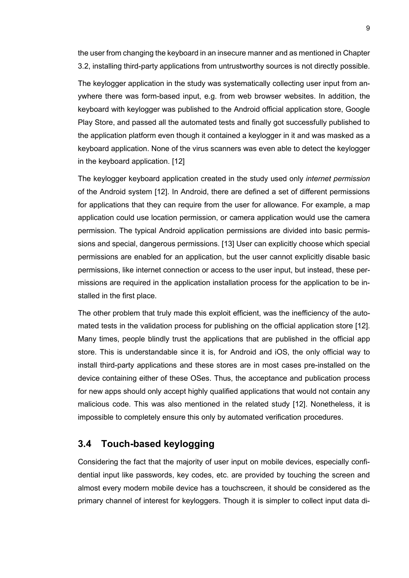the user from changing the keyboard in an insecure manner and as mentioned in Chapter 3.2, installing third-party applications from untrustworthy sources is not directly possible.

The keylogger application in the study was systematically collecting user input from anywhere there was form-based input, e.g. from web browser websites. In addition, the keyboard with keylogger was published to the Android official application store, Google Play Store, and passed all the automated tests and finally got successfully published to the application platform even though it contained a keylogger in it and was masked as a keyboard application. None of the virus scanners was even able to detect the keylogger in the keyboard application. [12]

The keylogger keyboard application created in the study used only *internet permission* of the Android system [12]. In Android, there are defined a set of different permissions for applications that they can require from the user for allowance. For example, a map application could use location permission, or camera application would use the camera permission. The typical Android application permissions are divided into basic permissions and special, dangerous permissions. [13] User can explicitly choose which special permissions are enabled for an application, but the user cannot explicitly disable basic permissions, like internet connection or access to the user input, but instead, these permissions are required in the application installation process for the application to be installed in the first place.

The other problem that truly made this exploit efficient, was the inefficiency of the automated tests in the validation process for publishing on the official application store [12]. Many times, people blindly trust the applications that are published in the official app store. This is understandable since it is, for Android and iOS, the only official way to install third-party applications and these stores are in most cases pre-installed on the device containing either of these OSes. Thus, the acceptance and publication process for new apps should only accept highly qualified applications that would not contain any malicious code. This was also mentioned in the related study [12]. Nonetheless, it is impossible to completely ensure this only by automated verification procedures.

#### <span id="page-12-0"></span>**3.4 Touch-based keylogging**

Considering the fact that the majority of user input on mobile devices, especially confidential input like passwords, key codes, etc. are provided by touching the screen and almost every modern mobile device has a touchscreen, it should be considered as the primary channel of interest for keyloggers. Though it is simpler to collect input data di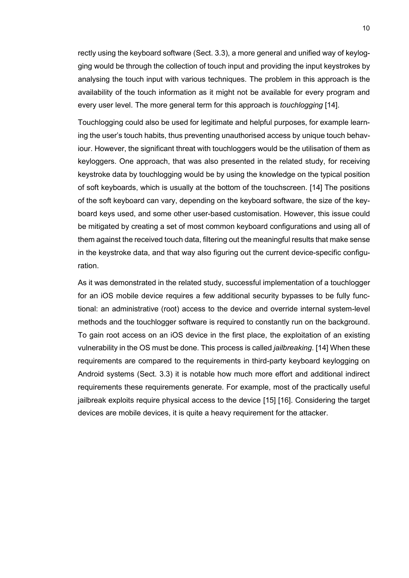rectly using the keyboard software (Sect. 3.3), a more general and unified way of keylogging would be through the collection of touch input and providing the input keystrokes by analysing the touch input with various techniques. The problem in this approach is the availability of the touch information as it might not be available for every program and every user level. The more general term for this approach is *touchlogging* [14].

Touchlogging could also be used for legitimate and helpful purposes, for example learning the user's touch habits, thus preventing unauthorised access by unique touch behaviour. However, the significant threat with touchloggers would be the utilisation of them as keyloggers. One approach, that was also presented in the related study, for receiving keystroke data by touchlogging would be by using the knowledge on the typical position of soft keyboards, which is usually at the bottom of the touchscreen. [14] The positions of the soft keyboard can vary, depending on the keyboard software, the size of the keyboard keys used, and some other user-based customisation. However, this issue could be mitigated by creating a set of most common keyboard configurations and using all of them against the received touch data, filtering out the meaningful results that make sense in the keystroke data, and that way also figuring out the current device-specific configuration.

As it was demonstrated in the related study, successful implementation of a touchlogger for an iOS mobile device requires a few additional security bypasses to be fully functional: an administrative (root) access to the device and override internal system-level methods and the touchlogger software is required to constantly run on the background. To gain root access on an iOS device in the first place, the exploitation of an existing vulnerability in the OS must be done. This process is called *jailbreaking*. [14] When these requirements are compared to the requirements in third-party keyboard keylogging on Android systems (Sect. 3.3) it is notable how much more effort and additional indirect requirements these requirements generate. For example, most of the practically useful jailbreak exploits require physical access to the device [15] [16]. Considering the target devices are mobile devices, it is quite a heavy requirement for the attacker.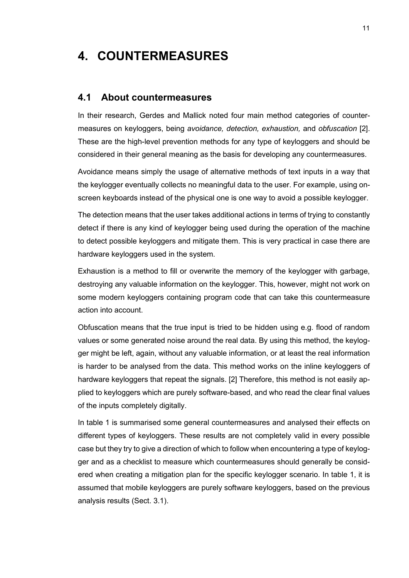## <span id="page-14-0"></span>**4. COUNTERMEASURES**

#### <span id="page-14-1"></span>**4.1 About countermeasures**

In their research, Gerdes and Mallick noted four main method categories of countermeasures on keyloggers, being *avoidance, detection, exhaustion,* and *obfuscation* [2]. These are the high-level prevention methods for any type of keyloggers and should be considered in their general meaning as the basis for developing any countermeasures.

Avoidance means simply the usage of alternative methods of text inputs in a way that the keylogger eventually collects no meaningful data to the user. For example, using onscreen keyboards instead of the physical one is one way to avoid a possible keylogger.

The detection means that the user takes additional actions in terms of trying to constantly detect if there is any kind of keylogger being used during the operation of the machine to detect possible keyloggers and mitigate them. This is very practical in case there are hardware keyloggers used in the system.

Exhaustion is a method to fill or overwrite the memory of the keylogger with garbage, destroying any valuable information on the keylogger. This, however, might not work on some modern keyloggers containing program code that can take this countermeasure action into account.

Obfuscation means that the true input is tried to be hidden using e.g. flood of random values or some generated noise around the real data. By using this method, the keylogger might be left, again, without any valuable information, or at least the real information is harder to be analysed from the data. This method works on the inline keyloggers of hardware keyloggers that repeat the signals. [2] Therefore, this method is not easily applied to keyloggers which are purely software-based, and who read the clear final values of the inputs completely digitally.

In table 1 is summarised some general countermeasures and analysed their effects on different types of keyloggers. These results are not completely valid in every possible case but they try to give a direction of which to follow when encountering a type of keylogger and as a checklist to measure which countermeasures should generally be considered when creating a mitigation plan for the specific keylogger scenario. In table 1, it is assumed that mobile keyloggers are purely software keyloggers, based on the previous analysis results (Sect. 3.1).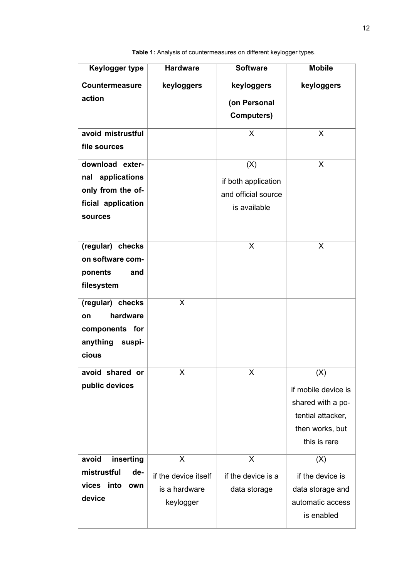| Keylogger type        | <b>Hardware</b>      | <b>Software</b>                     | <b>Mobile</b>       |
|-----------------------|----------------------|-------------------------------------|---------------------|
| <b>Countermeasure</b> | keyloggers           | keyloggers                          | keyloggers          |
| action                |                      | (on Personal                        |                     |
|                       |                      | <b>Computers)</b>                   |                     |
| avoid mistrustful     |                      | X                                   | X                   |
| file sources          |                      |                                     |                     |
| download exter-       |                      | (X)                                 | X                   |
| nal applications      |                      |                                     |                     |
| only from the of-     |                      | if both application                 |                     |
| ficial application    |                      | and official source<br>is available |                     |
| <b>sources</b>        |                      |                                     |                     |
|                       |                      |                                     |                     |
| (regular) checks      |                      | X                                   | X                   |
| on software com-      |                      |                                     |                     |
| ponents<br>and        |                      |                                     |                     |
| filesystem            |                      |                                     |                     |
| (regular) checks      | X                    |                                     |                     |
| hardware<br>on        |                      |                                     |                     |
| components for        |                      |                                     |                     |
| anything<br>suspi-    |                      |                                     |                     |
| cious                 |                      |                                     |                     |
| avoid shared or       | х                    | X                                   | (X)                 |
| public devices        |                      |                                     | if mobile device is |
|                       |                      |                                     | shared with a po-   |
|                       |                      |                                     | tential attacker,   |
|                       |                      |                                     | then works, but     |
|                       |                      |                                     | this is rare        |
| avoid<br>inserting    | X                    | X                                   | (X)                 |
| mistrustful<br>de-    |                      |                                     |                     |
| vices into<br>own     | if the device itself | if the device is a                  | if the device is    |
| device                | is a hardware        | data storage                        | data storage and    |
|                       | keylogger            |                                     | automatic access    |
|                       |                      |                                     | is enabled          |

**Table 1:** Analysis of countermeasures on different keylogger types.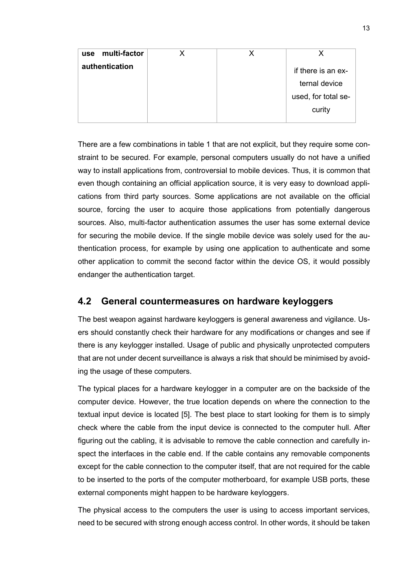| multi-factor<br><b>use</b> | x | х | X                   |
|----------------------------|---|---|---------------------|
| authentication             |   |   | if there is an ex-  |
|                            |   |   | ternal device       |
|                            |   |   | used, for total se- |
|                            |   |   | curity              |
|                            |   |   |                     |

There are a few combinations in table 1 that are not explicit, but they require some constraint to be secured. For example, personal computers usually do not have a unified way to install applications from, controversial to mobile devices. Thus, it is common that even though containing an official application source, it is very easy to download applications from third party sources. Some applications are not available on the official source, forcing the user to acquire those applications from potentially dangerous sources. Also, multi-factor authentication assumes the user has some external device for securing the mobile device. If the single mobile device was solely used for the authentication process, for example by using one application to authenticate and some other application to commit the second factor within the device OS, it would possibly endanger the authentication target.

### <span id="page-16-0"></span>**4.2 General countermeasures on hardware keyloggers**

The best weapon against hardware keyloggers is general awareness and vigilance. Users should constantly check their hardware for any modifications or changes and see if there is any keylogger installed. Usage of public and physically unprotected computers that are not under decent surveillance is always a risk that should be minimised by avoiding the usage of these computers.

The typical places for a hardware keylogger in a computer are on the backside of the computer device. However, the true location depends on where the connection to the textual input device is located [5]. The best place to start looking for them is to simply check where the cable from the input device is connected to the computer hull. After figuring out the cabling, it is advisable to remove the cable connection and carefully inspect the interfaces in the cable end. If the cable contains any removable components except for the cable connection to the computer itself, that are not required for the cable to be inserted to the ports of the computer motherboard, for example USB ports, these external components might happen to be hardware keyloggers.

The physical access to the computers the user is using to access important services, need to be secured with strong enough access control. In other words, it should be taken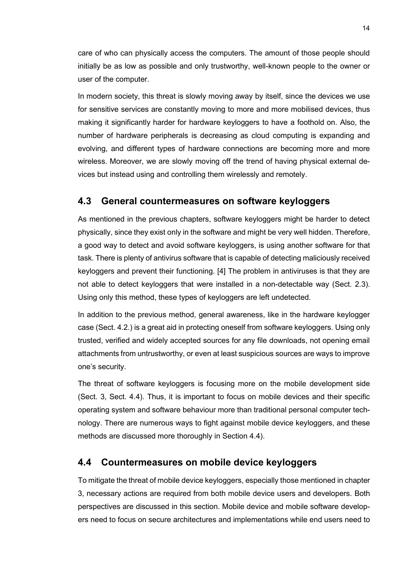care of who can physically access the computers. The amount of those people should initially be as low as possible and only trustworthy, well-known people to the owner or user of the computer.

In modern society, this threat is slowly moving away by itself, since the devices we use for sensitive services are constantly moving to more and more mobilised devices, thus making it significantly harder for hardware keyloggers to have a foothold on. Also, the number of hardware peripherals is decreasing as cloud computing is expanding and evolving, and different types of hardware connections are becoming more and more wireless. Moreover, we are slowly moving off the trend of having physical external devices but instead using and controlling them wirelessly and remotely.

### <span id="page-17-0"></span>**4.3 General countermeasures on software keyloggers**

As mentioned in the previous chapters, software keyloggers might be harder to detect physically, since they exist only in the software and might be very well hidden. Therefore, a good way to detect and avoid software keyloggers, is using another software for that task. There is plenty of antivirus software that is capable of detecting maliciously received keyloggers and prevent their functioning. [4] The problem in antiviruses is that they are not able to detect keyloggers that were installed in a non-detectable way (Sect. 2.3). Using only this method, these types of keyloggers are left undetected.

In addition to the previous method, general awareness, like in the hardware keylogger case (Sect. 4.2.) is a great aid in protecting oneself from software keyloggers. Using only trusted, verified and widely accepted sources for any file downloads, not opening email attachments from untrustworthy, or even at least suspicious sources are ways to improve one's security.

The threat of software keyloggers is focusing more on the mobile development side (Sect. 3, Sect. 4.4). Thus, it is important to focus on mobile devices and their specific operating system and software behaviour more than traditional personal computer technology. There are numerous ways to fight against mobile device keyloggers, and these methods are discussed more thoroughly in Section 4.4).

### <span id="page-17-1"></span>**4.4 Countermeasures on mobile device keyloggers**

To mitigate the threat of mobile device keyloggers, especially those mentioned in chapter 3, necessary actions are required from both mobile device users and developers. Both perspectives are discussed in this section. Mobile device and mobile software developers need to focus on secure architectures and implementations while end users need to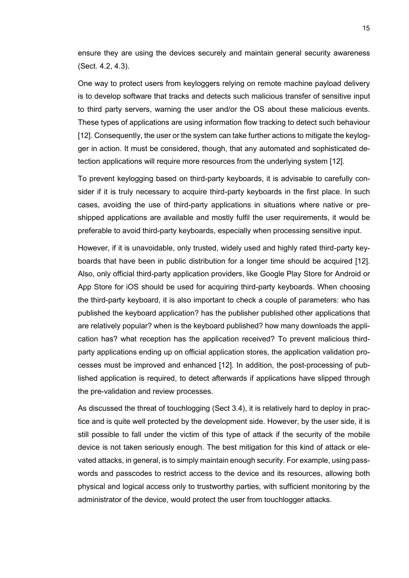ensure they are using the devices securely and maintain general security awareness (Sect. 4.2, 4.3).

One way to protect users from keyloggers relying on remote machine payload delivery is to develop software that tracks and detects such malicious transfer of sensitive input to third party servers, warning the user and/or the OS about these malicious events. These types of applications are using information flow tracking to detect such behaviour [12]. Consequently, the user or the system can take further actions to mitigate the keylogger in action. It must be considered, though, that any automated and sophisticated detection applications will require more resources from the underlying system [12].

To prevent keylogging based on third-party keyboards, it is advisable to carefully consider if it is truly necessary to acquire third-party keyboards in the first place. In such cases, avoiding the use of third-party applications in situations where native or preshipped applications are available and mostly fulfil the user requirements, it would be preferable to avoid third-party keyboards, especially when processing sensitive input.

However, if it is unavoidable, only trusted, widely used and highly rated third-party keyboards that have been in public distribution for a longer time should be acquired [12]. Also, only official third-party application providers, like Google Play Store for Android or App Store for iOS should be used for acquiring third-party keyboards. When choosing the third-party keyboard, it is also important to check a couple of parameters: who has published the keyboard application? has the publisher published other applications that are relatively popular? when is the keyboard published? how many downloads the application has? what reception has the application received? To prevent malicious thirdparty applications ending up on official application stores, the application validation processes must be improved and enhanced [12]. In addition, the post-processing of published application is required, to detect afterwards if applications have slipped through the pre-validation and review processes.

As discussed the threat of touchlogging (Sect 3.4), it is relatively hard to deploy in practice and is quite well protected by the development side. However, by the user side, it is still possible to fall under the victim of this type of attack if the security of the mobile device is not taken seriously enough. The best mitigation for this kind of attack or elevated attacks, in general, is to simply maintain enough security. For example, using passwords and passcodes to restrict access to the device and its resources, allowing both physical and logical access only to trustworthy parties, with sufficient monitoring by the administrator of the device, would protect the user from touchlogger attacks.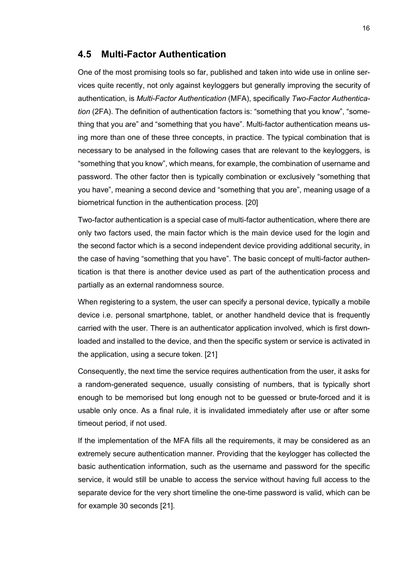#### <span id="page-19-0"></span>**4.5 Multi-Factor Authentication**

One of the most promising tools so far, published and taken into wide use in online services quite recently, not only against keyloggers but generally improving the security of authentication, is *Multi-Factor Authentication* (MFA), specifically *Two-Factor Authentication* (2FA). The definition of authentication factors is: "something that you know", "something that you are" and "something that you have". Multi-factor authentication means using more than one of these three concepts, in practice. The typical combination that is necessary to be analysed in the following cases that are relevant to the keyloggers, is "something that you know", which means, for example, the combination of username and password. The other factor then is typically combination or exclusively "something that you have", meaning a second device and "something that you are", meaning usage of a biometrical function in the authentication process. [20]

Two-factor authentication is a special case of multi-factor authentication, where there are only two factors used, the main factor which is the main device used for the login and the second factor which is a second independent device providing additional security, in the case of having "something that you have". The basic concept of multi-factor authentication is that there is another device used as part of the authentication process and partially as an external randomness source.

When registering to a system, the user can specify a personal device, typically a mobile device i.e. personal smartphone, tablet, or another handheld device that is frequently carried with the user. There is an authenticator application involved, which is first downloaded and installed to the device, and then the specific system or service is activated in the application, using a secure token. [21]

Consequently, the next time the service requires authentication from the user, it asks for a random-generated sequence, usually consisting of numbers, that is typically short enough to be memorised but long enough not to be guessed or brute-forced and it is usable only once. As a final rule, it is invalidated immediately after use or after some timeout period, if not used.

If the implementation of the MFA fills all the requirements, it may be considered as an extremely secure authentication manner. Providing that the keylogger has collected the basic authentication information, such as the username and password for the specific service, it would still be unable to access the service without having full access to the separate device for the very short timeline the one-time password is valid, which can be for example 30 seconds [21].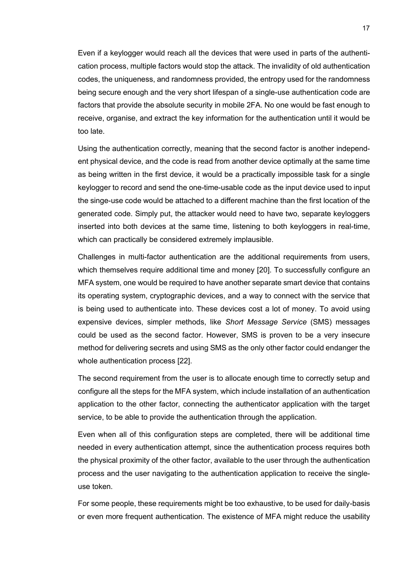Even if a keylogger would reach all the devices that were used in parts of the authentication process, multiple factors would stop the attack. The invalidity of old authentication codes, the uniqueness, and randomness provided, the entropy used for the randomness being secure enough and the very short lifespan of a single-use authentication code are factors that provide the absolute security in mobile 2FA. No one would be fast enough to receive, organise, and extract the key information for the authentication until it would be too late.

Using the authentication correctly, meaning that the second factor is another independent physical device, and the code is read from another device optimally at the same time as being written in the first device, it would be a practically impossible task for a single keylogger to record and send the one-time-usable code as the input device used to input the singe-use code would be attached to a different machine than the first location of the generated code. Simply put, the attacker would need to have two, separate keyloggers inserted into both devices at the same time, listening to both keyloggers in real-time, which can practically be considered extremely implausible.

Challenges in multi-factor authentication are the additional requirements from users, which themselves require additional time and money [20]. To successfully configure an MFA system, one would be required to have another separate smart device that contains its operating system, cryptographic devices, and a way to connect with the service that is being used to authenticate into. These devices cost a lot of money. To avoid using expensive devices, simpler methods, like *Short Message Service* (SMS) messages could be used as the second factor. However, SMS is proven to be a very insecure method for delivering secrets and using SMS as the only other factor could endanger the whole authentication process [22].

The second requirement from the user is to allocate enough time to correctly setup and configure all the steps for the MFA system, which include installation of an authentication application to the other factor, connecting the authenticator application with the target service, to be able to provide the authentication through the application.

Even when all of this configuration steps are completed, there will be additional time needed in every authentication attempt, since the authentication process requires both the physical proximity of the other factor, available to the user through the authentication process and the user navigating to the authentication application to receive the singleuse token.

For some people, these requirements might be too exhaustive, to be used for daily-basis or even more frequent authentication. The existence of MFA might reduce the usability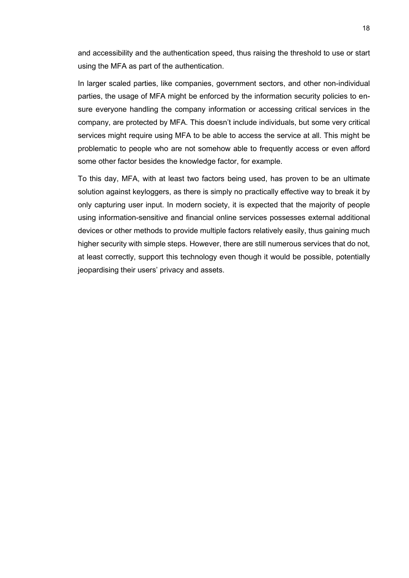and accessibility and the authentication speed, thus raising the threshold to use or start using the MFA as part of the authentication.

In larger scaled parties, like companies, government sectors, and other non-individual parties, the usage of MFA might be enforced by the information security policies to ensure everyone handling the company information or accessing critical services in the company, are protected by MFA. This doesn't include individuals, but some very critical services might require using MFA to be able to access the service at all. This might be problematic to people who are not somehow able to frequently access or even afford some other factor besides the knowledge factor, for example.

To this day, MFA, with at least two factors being used, has proven to be an ultimate solution against keyloggers, as there is simply no practically effective way to break it by only capturing user input. In modern society, it is expected that the majority of people using information-sensitive and financial online services possesses external additional devices or other methods to provide multiple factors relatively easily, thus gaining much higher security with simple steps. However, there are still numerous services that do not, at least correctly, support this technology even though it would be possible, potentially jeopardising their users' privacy and assets.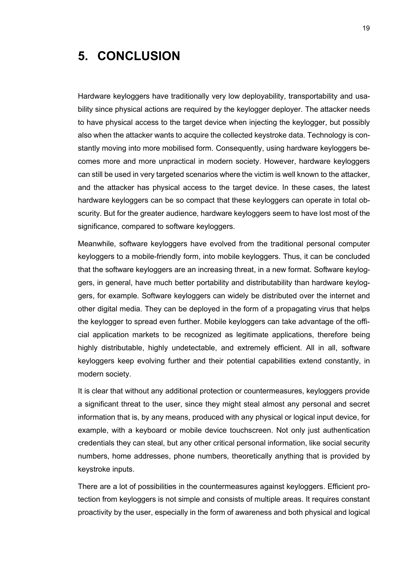## <span id="page-22-0"></span>**5. CONCLUSION**

Hardware keyloggers have traditionally very low deployability, transportability and usability since physical actions are required by the keylogger deployer. The attacker needs to have physical access to the target device when injecting the keylogger, but possibly also when the attacker wants to acquire the collected keystroke data. Technology is constantly moving into more mobilised form. Consequently, using hardware keyloggers becomes more and more unpractical in modern society. However, hardware keyloggers can still be used in very targeted scenarios where the victim is well known to the attacker, and the attacker has physical access to the target device. In these cases, the latest hardware keyloggers can be so compact that these keyloggers can operate in total obscurity. But for the greater audience, hardware keyloggers seem to have lost most of the significance, compared to software keyloggers.

Meanwhile, software keyloggers have evolved from the traditional personal computer keyloggers to a mobile-friendly form, into mobile keyloggers. Thus, it can be concluded that the software keyloggers are an increasing threat, in a new format. Software keyloggers, in general, have much better portability and distributability than hardware keyloggers, for example. Software keyloggers can widely be distributed over the internet and other digital media. They can be deployed in the form of a propagating virus that helps the keylogger to spread even further. Mobile keyloggers can take advantage of the official application markets to be recognized as legitimate applications, therefore being highly distributable, highly undetectable, and extremely efficient. All in all, software keyloggers keep evolving further and their potential capabilities extend constantly, in modern society.

It is clear that without any additional protection or countermeasures, keyloggers provide a significant threat to the user, since they might steal almost any personal and secret information that is, by any means, produced with any physical or logical input device, for example, with a keyboard or mobile device touchscreen. Not only just authentication credentials they can steal, but any other critical personal information, like social security numbers, home addresses, phone numbers, theoretically anything that is provided by keystroke inputs.

There are a lot of possibilities in the countermeasures against keyloggers. Efficient protection from keyloggers is not simple and consists of multiple areas. It requires constant proactivity by the user, especially in the form of awareness and both physical and logical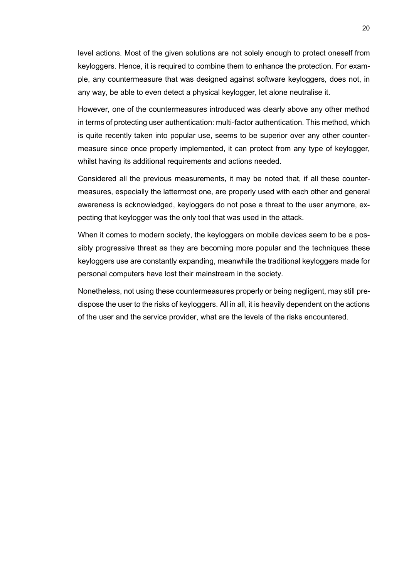level actions. Most of the given solutions are not solely enough to protect oneself from keyloggers. Hence, it is required to combine them to enhance the protection. For example, any countermeasure that was designed against software keyloggers, does not, in any way, be able to even detect a physical keylogger, let alone neutralise it.

However, one of the countermeasures introduced was clearly above any other method in terms of protecting user authentication: multi-factor authentication. This method, which is quite recently taken into popular use, seems to be superior over any other countermeasure since once properly implemented, it can protect from any type of keylogger, whilst having its additional requirements and actions needed.

Considered all the previous measurements, it may be noted that, if all these countermeasures, especially the lattermost one, are properly used with each other and general awareness is acknowledged, keyloggers do not pose a threat to the user anymore, expecting that keylogger was the only tool that was used in the attack.

When it comes to modern society, the keyloggers on mobile devices seem to be a possibly progressive threat as they are becoming more popular and the techniques these keyloggers use are constantly expanding, meanwhile the traditional keyloggers made for personal computers have lost their mainstream in the society.

Nonetheless, not using these countermeasures properly or being negligent, may still predispose the user to the risks of keyloggers. All in all, it is heavily dependent on the actions of the user and the service provider, what are the levels of the risks encountered.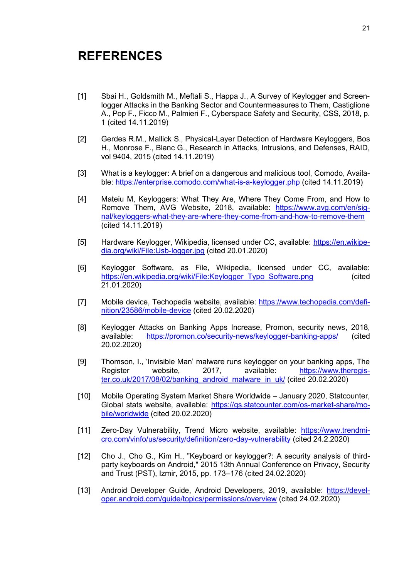### <span id="page-24-0"></span>**REFERENCES**

- [1] Sbai H., Goldsmith M., Meftali S., Happa J., A Survey of Keylogger and Screenlogger Attacks in the Banking Sector and Countermeasures to Them, Castiglione A., Pop F., Ficco M., Palmieri F., Cyberspace Safety and Security, CSS, 2018, p. 1 (cited 14.11.2019)
- [2] Gerdes R.M., Mallick S., Physical-Layer Detection of Hardware Keyloggers, Bos H., Monrose F., Blanc G., Research in Attacks, Intrusions, and Defenses, RAID, vol 9404, 2015 (cited 14.11.2019)
- [3] What is a keylogger: A brief on a dangerous and malicious tool, Comodo, Available:<https://enterprise.comodo.com/what-is-a-keylogger.php> (cited 14.11.2019)
- [4] Mateiu M, Keyloggers: What They Are, Where They Come From, and How to Remove Them, AVG Website, 2018, available: [https://www.avg.com/en/sig](https://www.avg.com/en/signal/keyloggers-what-they-are-where-they-come-from-and-how-to-remove-them)[nal/keyloggers-what-they-are-where-they-come-from-and-how-to-remove-them](https://www.avg.com/en/signal/keyloggers-what-they-are-where-they-come-from-and-how-to-remove-them) (cited 14.11.2019)
- [5] Hardware Keylogger, Wikipedia, licensed under CC, available: [https://en.wikipe](https://en.wikipedia.org/wiki/File:Usb-logger.jpg)[dia.org/wiki/File:Usb-logger.jpg](https://en.wikipedia.org/wiki/File:Usb-logger.jpg) (cited 20.01.2020)
- [6] Keylogger Software, as File, Wikipedia, licensed under CC, available: [https://en.wikipedia.org/wiki/File:Keylogger\\_Typo\\_Software.png](https://en.wikipedia.org/wiki/File:Keylogger_Typo_Software.png) (cited 21.01.2020)
- [7] Mobile device, Techopedia website, available: [https://www.techopedia.com/defi](https://www.techopedia.com/definition/23586/mobile-device)[nition/23586/mobile-device](https://www.techopedia.com/definition/23586/mobile-device) (cited 20.02.2020)
- [8] Keylogger Attacks on Banking Apps Increase, Promon, security news, 2018, available: <https://promon.co/security-news/keylogger-banking-apps/> (cited 20.02.2020)
- [9] Thomson, I., 'Invisible Man' malware runs keylogger on your banking apps, The Register website, 2017, available: [https://www.theregis](https://www.theregister.co.uk/2017/08/02/banking_android_malware_in_uk/)[ter.co.uk/2017/08/02/banking\\_android\\_malware\\_in\\_uk/](https://www.theregister.co.uk/2017/08/02/banking_android_malware_in_uk/) (cited 20.02.2020)
- [10] Mobile Operating System Market Share Worldwide January 2020, Statcounter, Global stats website, available: [https://gs.statcounter.com/os-market-share/mo](https://gs.statcounter.com/os-market-share/mobile/worldwide)[bile/worldwide](https://gs.statcounter.com/os-market-share/mobile/worldwide) (cited 20.02.2020)
- [11] Zero-Day Vulnerability, Trend Micro website, available: [https://www.trendmi](https://www.trendmicro.com/vinfo/us/security/definition/zero-day-vulnerability)[cro.com/vinfo/us/security/definition/zero-day-vulnerability](https://www.trendmicro.com/vinfo/us/security/definition/zero-day-vulnerability) (cited 24.2.2020)
- [12] Cho J., Cho G., Kim H., "Keyboard or keylogger?: A security analysis of thirdparty keyboards on Android," 2015 13th Annual Conference on Privacy, Security and Trust (PST), Izmir, 2015, pp. 173–176 (cited 24.02.2020)
- [13] Android Developer Guide, Android Developers, 2019, available: [https://devel](https://developer.android.com/guide/topics/permissions/overview)[oper.android.com/guide/topics/permissions/overview](https://developer.android.com/guide/topics/permissions/overview) (cited 24.02.2020)